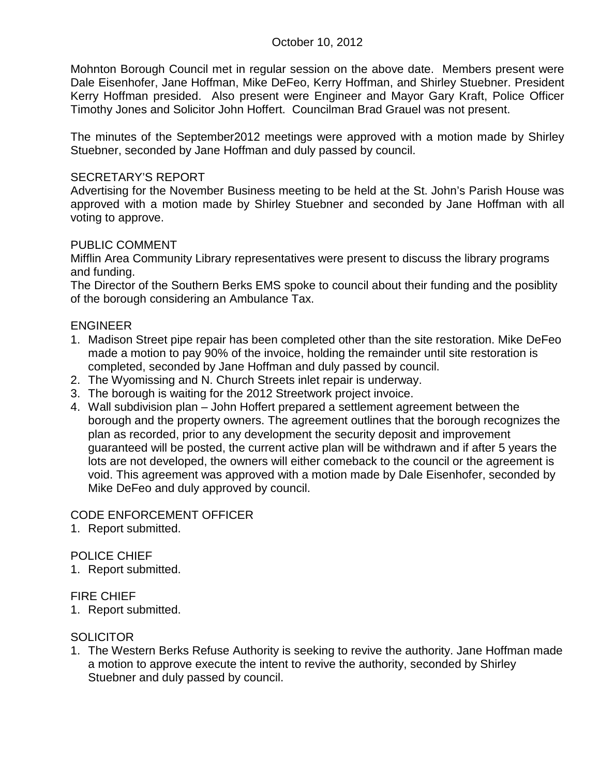Mohnton Borough Council met in regular session on the above date. Members present were Dale Eisenhofer, Jane Hoffman, Mike DeFeo, Kerry Hoffman, and Shirley Stuebner. President Kerry Hoffman presided. Also present were Engineer and Mayor Gary Kraft, Police Officer Timothy Jones and Solicitor John Hoffert. Councilman Brad Grauel was not present.

The minutes of the September2012 meetings were approved with a motion made by Shirley Stuebner, seconded by Jane Hoffman and duly passed by council.

## SECRETARY'S REPORT

Advertising for the November Business meeting to be held at the St. John's Parish House was approved with a motion made by Shirley Stuebner and seconded by Jane Hoffman with all voting to approve.

## PUBLIC COMMENT

Mifflin Area Community Library representatives were present to discuss the library programs and funding.

The Director of the Southern Berks EMS spoke to council about their funding and the posiblity of the borough considering an Ambulance Tax.

## ENGINEER

- 1. Madison Street pipe repair has been completed other than the site restoration. Mike DeFeo made a motion to pay 90% of the invoice, holding the remainder until site restoration is completed, seconded by Jane Hoffman and duly passed by council.
- 2. The Wyomissing and N. Church Streets inlet repair is underway.
- 3. The borough is waiting for the 2012 Streetwork project invoice.
- 4. Wall subdivision plan John Hoffert prepared a settlement agreement between the borough and the property owners. The agreement outlines that the borough recognizes the plan as recorded, prior to any development the security deposit and improvement guaranteed will be posted, the current active plan will be withdrawn and if after 5 years the lots are not developed, the owners will either comeback to the council or the agreement is void. This agreement was approved with a motion made by Dale Eisenhofer, seconded by Mike DeFeo and duly approved by council.

## CODE ENFORCEMENT OFFICER

1. Report submitted.

## POLICE CHIEF

1. Report submitted.

## FIRE CHIEF

1. Report submitted.

# **SOLICITOR**

1. The Western Berks Refuse Authority is seeking to revive the authority. Jane Hoffman made a motion to approve execute the intent to revive the authority, seconded by Shirley Stuebner and duly passed by council.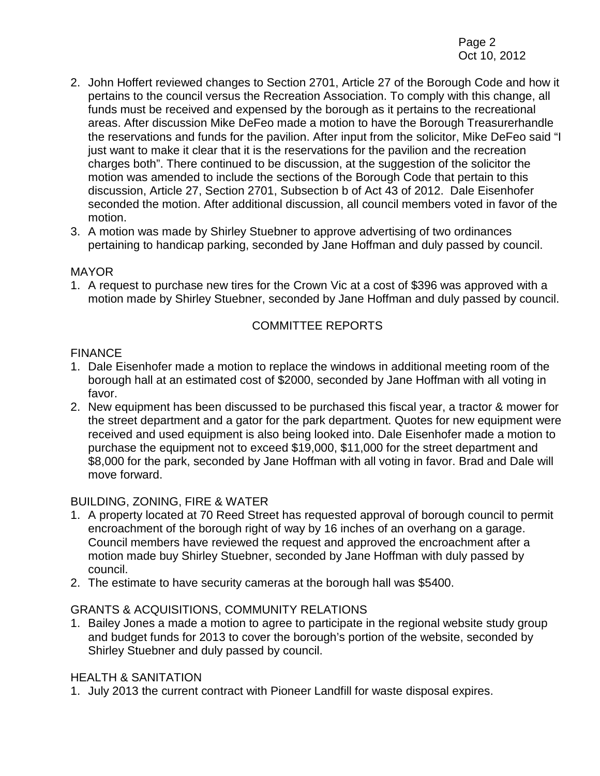- 2. John Hoffert reviewed changes to Section 2701, Article 27 of the Borough Code and how it pertains to the council versus the Recreation Association. To comply with this change, all funds must be received and expensed by the borough as it pertains to the recreational areas. After discussion Mike DeFeo made a motion to have the Borough Treasurerhandle the reservations and funds for the pavilion. After input from the solicitor, Mike DeFeo said "I just want to make it clear that it is the reservations for the pavilion and the recreation charges both". There continued to be discussion, at the suggestion of the solicitor the motion was amended to include the sections of the Borough Code that pertain to this discussion, Article 27, Section 2701, Subsection b of Act 43 of 2012. Dale Eisenhofer seconded the motion. After additional discussion, all council members voted in favor of the motion.
- 3. A motion was made by Shirley Stuebner to approve advertising of two ordinances pertaining to handicap parking, seconded by Jane Hoffman and duly passed by council.

## MAYOR

1. A request to purchase new tires for the Crown Vic at a cost of \$396 was approved with a motion made by Shirley Stuebner, seconded by Jane Hoffman and duly passed by council.

## COMMITTEE REPORTS

#### **FINANCE**

- 1. Dale Eisenhofer made a motion to replace the windows in additional meeting room of the borough hall at an estimated cost of \$2000, seconded by Jane Hoffman with all voting in favor.
- 2. New equipment has been discussed to be purchased this fiscal year, a tractor & mower for the street department and a gator for the park department. Quotes for new equipment were received and used equipment is also being looked into. Dale Eisenhofer made a motion to purchase the equipment not to exceed \$19,000, \$11,000 for the street department and \$8,000 for the park, seconded by Jane Hoffman with all voting in favor. Brad and Dale will move forward.

## BUILDING, ZONING, FIRE & WATER

- 1. A property located at 70 Reed Street has requested approval of borough council to permit encroachment of the borough right of way by 16 inches of an overhang on a garage. Council members have reviewed the request and approved the encroachment after a motion made buy Shirley Stuebner, seconded by Jane Hoffman with duly passed by council.
- 2. The estimate to have security cameras at the borough hall was \$5400.

## GRANTS & ACQUISITIONS, COMMUNITY RELATIONS

1. Bailey Jones a made a motion to agree to participate in the regional website study group and budget funds for 2013 to cover the borough's portion of the website, seconded by Shirley Stuebner and duly passed by council.

## HEALTH & SANITATION

1. July 2013 the current contract with Pioneer Landfill for waste disposal expires.